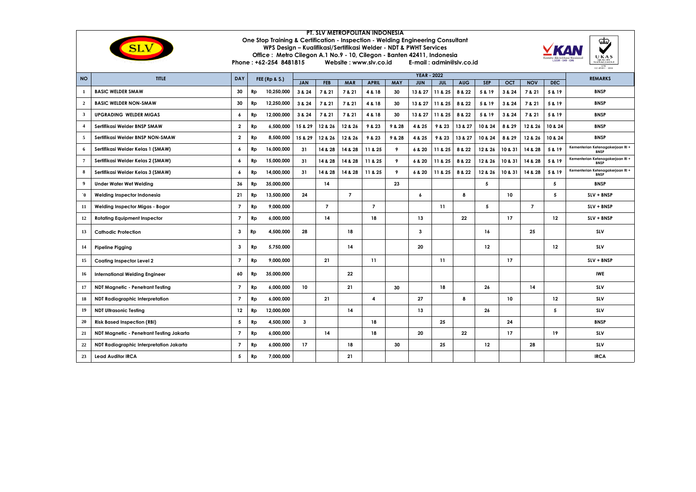

## **PT. SLV METROPOLITAN INDONESIA One Stop Training & Certification - Inspection - Welding Engineering Consultant WPS Design – Kualifikasi/Sertifikasi Welder - NDT & PWHT Services**  Office : Metro Cilegon A.1 No.9 - 10, Cilegon - Banten 42411, Indonesia<br>Phone : +62-254 8481815 Website : www.stv.co.id E-mail : admin@stv.co.id Website : www.slv.co.id



| <b>NO</b>             | <b>TITLE</b>                             | DAY                      |                           |            |                  | <b>REMARKS</b> |                |                |            |                  |            |            |            |            |                |         |                                                 |
|-----------------------|------------------------------------------|--------------------------|---------------------------|------------|------------------|----------------|----------------|----------------|------------|------------------|------------|------------|------------|------------|----------------|---------|-------------------------------------------------|
|                       |                                          |                          | <b>FEE (Rp &amp; \$.)</b> | <b>JAN</b> | <b>FEB</b>       | <b>MAR</b>     | <b>APRIL</b>   | <b>MAY</b>     | <b>JUN</b> | <b>JUL</b>       | <b>AUG</b> | <b>SEP</b> | <b>OCT</b> | <b>NOV</b> | DEC.           |         |                                                 |
| -1                    | <b>BASIC WELDER SMAW</b>                 | 30                       | Rp                        | 10,250,000 | 3 & 24           | 7 & 21         | 7 & 21         | 4 & 18         | 30         | 13 & 27          | 11 & 25    | 8 & 22     | 5 & 19     | 3 & 24     | 7 & 21         | 5 & 19  | <b>BNSP</b>                                     |
| 2                     | <b>BASIC WELDER NON-SMAW</b>             | 30                       | Rp                        | 12,250,000 | 3 & 24           | 7 & 21         | 7 & 21         | 4 & 18         | 30         | 13 & 27          | 11 & 25    | 8 & 22     | 5 & 19     | 3 & 24     | 7 & 21         | 5 & 19  | <b>BNSP</b>                                     |
| $\mathbf{3}$          | <b>UPGRADING WELDER MIGAS</b>            | 6                        | Rp                        | 12,000,000 | 3 & 24           | 7 & 21         | 7 & 21         | 4 & 18         | 30         | 13 & 27          | 11 & 25    | 8 & 22     | 5 & 19     | 3 & 24     | 7 & 21         | 5 & 19  | <b>BNSP</b>                                     |
| $\overline{4}$        | Sertifikasi Welder BNSP SMAW             | $\overline{\mathbf{2}}$  | Rp                        | 6,500,000  | 15 & 29          | 12 & 26        | 12 & 26        | 9 & 23         | 9 & 28     | 4 & 25           | 9 & 23     | 13 & 27    | 10 & 24    | 8 & 29     | 12 & 26        | 10 & 24 | <b>BNSP</b>                                     |
| 5                     | Sertifikasi Welder BNSP NON-SMAW         | $\overline{\mathbf{2}}$  | Rp                        | 8,500,000  | 15 & 29          | 12 & 26        | 12 & 26        | 9 & 23         | 9 & 28     | 4 & 25           | 9 & 23     | 13 & 27    | 10 & 24    | 8 & 29     | 12 & 26        | 10 & 24 | <b>BNSP</b>                                     |
| 6                     | Sertifikasi Welder Kelas 1 (SMAW)        |                          | Rp                        | 16,000,000 | 31               | 14 & 28        | 14 & 28        | 11 & 25        | 9          | 6 & 20           | 11 & 25    | 8 & 22     | 12 & 26    | 10 & 31    | 14 & 28        | 5 & 19  | Kementerian Ketenagakerjaan RI +<br><b>BNSP</b> |
| $\overline{7}$        | Sertifikasi Welder Kelas 2 (SMAW)        | 6                        | Rp                        | 15,000,000 | 31               | 14 & 28        | 14 & 28        | 11 & 25        | 9          | 6 & 20           | 11 & 25    | 8 & 22     | 12 & 26    | 10 & 31    | 14 & 28        | 5 & 19  | Kementerian Ketenagakerjaan RI +<br><b>BNSP</b> |
| -8                    | Sertifikasi Welder Kelas 3 (SMAW)        | 6                        | Rp                        | 14,000,000 | 31               | 14 & 28        | 14 & 28        | 11 & 25        | 9          | 6 & 20           | 11 & 25    | 8 & 22     | 12 & 26    | 10 & 31    | 14 & 28        | 5 & 19  | Kementerian Ketenagakerjaan RI +<br><b>BNSP</b> |
| 9                     | <b>Under Water Wet Welding</b>           | 36                       | Rp                        | 35,000,000 |                  | 14             |                |                | 23         |                  |            |            | 5          |            |                | 5       | <b>BNSP</b>                                     |
| $\mathbf{0}^{\prime}$ | Welding Inspector Indonesia              | 21                       | Rp                        | 13,500,000 | 24               |                | $\overline{7}$ |                |            | $\boldsymbol{6}$ |            | 8          |            | 10         |                | 5       | SLV + BNSP                                      |
| 11                    | Welding Inspector Migas - Bogor          | $\overline{7}$           | Rp                        | 9,000,000  |                  | $\overline{7}$ |                | $\overline{7}$ |            |                  | 11         |            | 5          |            | $\overline{7}$ |         | SLV + BNSP                                      |
| 12                    | <b>Rotating Equipment Inspector</b>      | $\overline{\phantom{a}}$ | Rp                        | 6,000,000  |                  | 14             |                | 18             |            | 13               |            | 22         |            | 17         |                | 12      | SLV + BNSP                                      |
| 13                    | <b>Cathodic Protection</b>               | 3                        | Rp                        | 4.500.000  | 28               |                | 18             |                |            | $\mathbf{3}$     |            |            | 16         |            | 25             |         | <b>SLV</b>                                      |
| 14                    | <b>Pipeline Pigging</b>                  | 3                        | Rp                        | 5,750,000  |                  |                | 14             |                |            | 20               |            |            | $12 \,$    |            |                | 12      | <b>SLV</b>                                      |
| 15                    | Coating Inspector Level 2                | $\overline{\phantom{a}}$ | Rp                        | 9,000,000  |                  | 21             |                | 11             |            |                  | 11         |            |            | 17         |                |         | SLV + BNSP                                      |
| 16                    | <b>International Welding Engineer</b>    | 60                       | Rp                        | 35.000.000 |                  |                | 22             |                |            |                  |            |            |            |            |                |         | <b>IWE</b>                                      |
| 17                    | NDT Magnetic - Penetrant Testing         | $\overline{\phantom{a}}$ | Rp                        | 6,000,000  | 10 <sup>10</sup> |                | 21             |                | 30         |                  | 18         |            | 26         |            | 14             |         | SLV                                             |
| 18                    | NDT Radiographic Interpretation          | $\overline{7}$           | Rp                        | 6.000.000  |                  | 21             |                | 4              |            | 27               |            | 8          |            | 10         |                | 12      | <b>SLV</b>                                      |
| 19                    | <b>NDT Ultrasonic Testing</b>            | 12                       | Rp                        | 12,000,000 |                  |                | 14             |                |            | 13               |            |            | 26         |            |                | 5       | <b>SLV</b>                                      |
| 20                    | <b>Risk Based Inspection (RBI)</b>       | 5                        | Rp                        | 4.500.000  | $\mathbf{3}$     |                |                | 18             |            |                  | 25         |            |            | 24         |                |         | <b>BNSP</b>                                     |
| 21                    | NDT Magnetic - Penetrant Testing Jakarta | $\overline{\phantom{a}}$ | Rp                        | 6,000,000  |                  | 14             |                | 18             |            | 20               |            | 22         |            | 17         |                | 19      | <b>SLV</b>                                      |
| 22                    | NDT Radiographic Interpretation Jakarta  | $\overline{7}$           | Rp                        | 6.000.000  | 17               |                | 18             |                | 30         |                  | 25         |            | 12         |            | 28             |         | <b>SLV</b>                                      |
| 23                    | <b>Lead Auditor IRCA</b>                 | 5                        | Rp                        | 7.000.000  |                  |                | 21             |                |            |                  |            |            |            |            |                |         | <b>IRCA</b>                                     |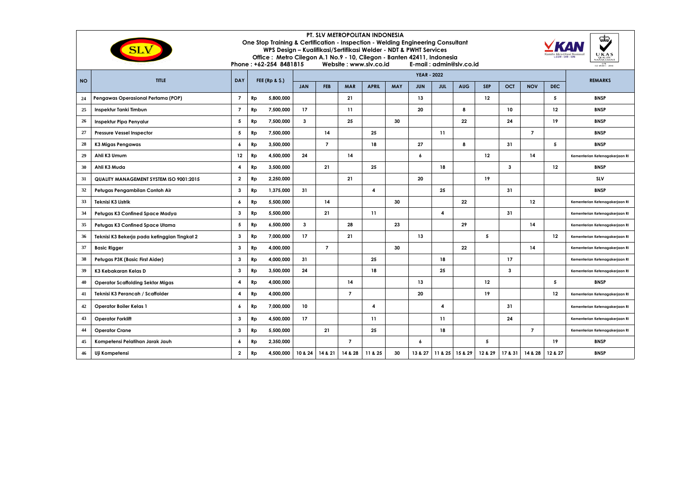| PT. SLV METROPOLITAN INDONESIA<br>ಯ<br>One Stop Training & Certification - Inspection - Welding Engineering Consultant<br>WPS Design - Kualifikasi/Sertifikasi Welder - NDT & PWHT Services<br>UKAS<br>Office: Metro Cilegon A.1 No.9 - 10, Cilegon - Banten 42411, Indonesia<br>Phone: +62-254 8481815<br>Website: www.slv.co.id<br>E-mail: admin@slv.co.id<br>078<br>150 + 5001 : 5018 |                                                |                         |    |                   |              |                |                          |              |            |                    |                |            |            |              |                |         |                                |
|------------------------------------------------------------------------------------------------------------------------------------------------------------------------------------------------------------------------------------------------------------------------------------------------------------------------------------------------------------------------------------------|------------------------------------------------|-------------------------|----|-------------------|--------------|----------------|--------------------------|--------------|------------|--------------------|----------------|------------|------------|--------------|----------------|---------|--------------------------------|
|                                                                                                                                                                                                                                                                                                                                                                                          | TITLE                                          | DAY                     |    |                   |              |                |                          |              |            | <b>YEAR - 2022</b> |                |            |            |              |                |         | <b>REMARKS</b>                 |
| <b>NO</b>                                                                                                                                                                                                                                                                                                                                                                                |                                                |                         |    | FEE ( $Rp & S.$ ) | <b>JAN</b>   | <b>FEB</b>     | <b>MAR</b>               | <b>APRIL</b> | <b>MAY</b> | <b>JUN</b>         | <b>JUL</b>     | <b>AUG</b> | <b>SEP</b> | <b>OCT</b>   | <b>NOV</b>     | DEC.    |                                |
| 24                                                                                                                                                                                                                                                                                                                                                                                       | Pengawas Operasional Pertama (POP)             | $\overline{7}$          | Rp | 5,800,000         |              |                | 21                       |              |            | 13                 |                |            | 12         |              |                | 5       | <b>BNSP</b>                    |
| 25                                                                                                                                                                                                                                                                                                                                                                                       | Inspektur Tanki Timbun                         | $\overline{7}$          | Rp | 7,500,000         | 17           |                | 11                       |              |            | 20                 |                | 8          |            | 10           |                | 12      | <b>BNSP</b>                    |
| 26                                                                                                                                                                                                                                                                                                                                                                                       | Inspektur Pipa Penyalur                        | 5                       | Rp | 7,500,000         | $\mathbf{3}$ |                | 25                       |              | 30         |                    |                | 22         |            | 24           |                | 19      | <b>BNSP</b>                    |
| 27                                                                                                                                                                                                                                                                                                                                                                                       | <b>Pressure Vessel Inspector</b>               | 5                       | Rp | 7,500,000         |              | 14             |                          | 25           |            |                    | 11             |            |            |              | $\overline{7}$ |         | <b>BNSP</b>                    |
| 28                                                                                                                                                                                                                                                                                                                                                                                       | K3 Migas Pengawas                              | 6                       | Rp | 3,500,000         |              | $\overline{7}$ |                          | 18           |            | 27                 |                | 8          |            | 31           |                | 5       | <b>BNSP</b>                    |
| 29                                                                                                                                                                                                                                                                                                                                                                                       | Ahli K3 Umum                                   | 12                      | Rp | 4,500,000         | 24           |                | 14                       |              |            | $\epsilon$         |                |            | 12         |              | 14             |         | Kementerian Ketenagakerjaan RI |
| 30                                                                                                                                                                                                                                                                                                                                                                                       | Ahli K3 Muda                                   | 4                       | Rp | 3,500,000         |              | 21             |                          | 25           |            |                    | 18             |            |            | $\mathbf{3}$ |                | 12      | <b>BNSP</b>                    |
| 31                                                                                                                                                                                                                                                                                                                                                                                       | <b>QUALITY MANAGEMENT SYSTEM ISO 9001:2015</b> | $\mathbf{2}$            | Rp | 2,250,000         |              |                | 21                       |              |            | 20                 |                |            | 19         |              |                |         | SLV                            |
| 32                                                                                                                                                                                                                                                                                                                                                                                       | Petugas Pengambilan Contoh Air                 | 3                       | Rp | 1,375,000         | 31           |                |                          | 4            |            |                    | 25             |            |            | 31           |                |         | <b>BNSP</b>                    |
| 33                                                                                                                                                                                                                                                                                                                                                                                       | Teknisi K3 Listrik                             | 6                       | Rp | 5,500,000         |              | 14             |                          |              | 30         |                    |                | 22         |            |              | 12             |         | Kementerian Ketenagakerjaan RI |
| 34                                                                                                                                                                                                                                                                                                                                                                                       | Petugas K3 Confined Space Madya                | 3                       | Rp | 5,500,000         |              | 21             |                          | 11           |            |                    | $\overline{4}$ |            |            | 31           |                |         | Kementerian Ketenagakerjaan RI |
| 35                                                                                                                                                                                                                                                                                                                                                                                       | Petugas K3 Confined Space Utama                | 5                       | Rp | 6,500,000         | $\mathbf{3}$ |                | 28                       |              | 23         |                    |                | 29         |            |              | 14             |         | Kementerian Ketenagakerjaan RI |
| 36                                                                                                                                                                                                                                                                                                                                                                                       | Teknisi K3 Bekerja pada ketinggian Tingkat 2   | 3<br>7,000,000<br>Rp    |    |                   | 17           |                | 21                       |              |            | 13                 |                |            | 5          |              |                | 12      | Kementerian Ketenagakerjaan RI |
| 37                                                                                                                                                                                                                                                                                                                                                                                       | <b>Basic Rigger</b>                            | 3                       | Rp | 4,000,000         |              | $\overline{7}$ |                          |              | 30         |                    |                | 22         |            |              | 14             |         | Kementerian Ketenagakerjaan RI |
| 38                                                                                                                                                                                                                                                                                                                                                                                       | Petugas P3K (Basic First Aider)                | 3                       | Rp | 4,000,000         | 31           |                |                          | 25           |            |                    | 18             |            |            | 17           |                |         | Kementerian Ketenagakerjaan RI |
| 39                                                                                                                                                                                                                                                                                                                                                                                       | K3 Kebakaran Kelas D                           | 3                       | Rp | 3,500,000         | 24           |                |                          | 18           |            |                    | 25             |            |            | $\mathbf{3}$ |                |         | Kementerian Ketenagakerjaan RI |
| 40                                                                                                                                                                                                                                                                                                                                                                                       | <b>Operator Scaffolding Sektor Migas</b>       | 4                       | Rp | 4,000,000         |              |                | 14                       |              |            | 13                 |                |            | 12         |              |                | 5       | <b>BNSP</b>                    |
| 41                                                                                                                                                                                                                                                                                                                                                                                       | Teknisi K3 Perancah / Scaffolder               | 4                       | Rp | 4,000,000         |              |                | $\overline{7}$           |              |            | 20                 |                |            | 19         |              |                | 12      | Kementerian Ketenagakerjaan RI |
| 42                                                                                                                                                                                                                                                                                                                                                                                       | <b>Operator Boiler Kelas 1</b>                 | 6                       | Rp | 7,000,000         | 10           |                |                          | 4            |            |                    | 4              |            |            | 31           |                |         | Kementerian Ketenagakerjaan RI |
| 43                                                                                                                                                                                                                                                                                                                                                                                       | <b>Operator Forklift</b>                       | 3                       | Rp | 4,500,000         | 17           |                |                          | 11           |            |                    | 11             |            |            | 24           |                |         | Kementerian Ketenagakerjaan RI |
| 44                                                                                                                                                                                                                                                                                                                                                                                       | <b>Operator Crane</b>                          | 3                       | Rp | 5,500,000         |              | 21             |                          | 25           |            |                    | 18             |            |            |              | $\overline{7}$ |         | Kementerian Ketenagakerjaan RI |
| 45                                                                                                                                                                                                                                                                                                                                                                                       | Kompetensi Pelatihan Jarak Jauh                | 6                       | Rp | 2,350,000         |              |                | $\overline{\phantom{a}}$ |              |            | 6                  |                |            | 5          |              |                | 19      | <b>BNSP</b>                    |
| 46                                                                                                                                                                                                                                                                                                                                                                                       | Uji Kompetensi                                 | $\overline{\mathbf{2}}$ | Rp | 4,500,000         | 10 & 24      | 14 & 21        | 14 & 28                  | 11 & 25      | 30         | 13 & 27            | 11 & 25        | 15 & 29    | 12 & 29    | 17 & 31      | 14 & 28        | 12 & 27 | <b>BNSP</b>                    |
|                                                                                                                                                                                                                                                                                                                                                                                          |                                                |                         |    |                   |              |                |                          |              |            |                    |                |            |            |              |                |         |                                |